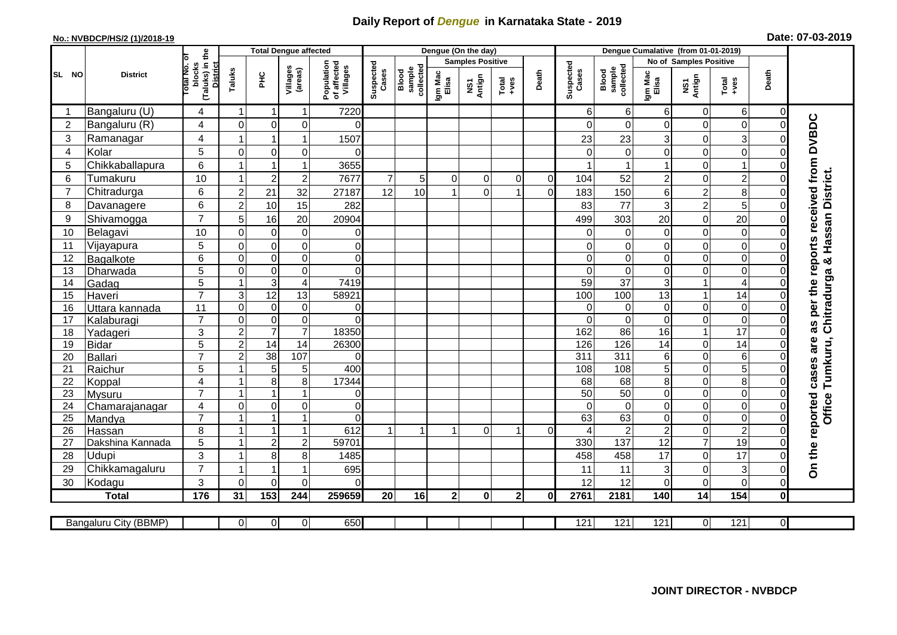## **Daily Report of** *Dengue* **in Karnataka State - 2019**

## **No.: NVBDCP/HS/2 (1)/2018-19 Date: 07-03-2019**

|                 | <b>District</b>                  |                                                       | <b>Total Dengue affected</b> |                               |                     |                                       |                      |                              |                         | Dengue (On the day) |                |             |                    |                              |                                   |                         |                                  |                            |                                        |
|-----------------|----------------------------------|-------------------------------------------------------|------------------------------|-------------------------------|---------------------|---------------------------------------|----------------------|------------------------------|-------------------------|---------------------|----------------|-------------|--------------------|------------------------------|-----------------------------------|-------------------------|----------------------------------|----------------------------|----------------------------------------|
|                 |                                  |                                                       |                              |                               |                     |                                       | Suspected<br>Cases   | sample<br>collected<br>Blood | <b>Samples Positive</b> |                     |                |             |                    |                              | No of Samples Positive            |                         |                                  |                            |                                        |
| SL NO           |                                  | (Taluks) in the<br>District<br>lotal No. of<br>blocks | Taluks<br>Ξ                  |                               | Villages<br>(areas) | Population<br>of affected<br>Villages |                      |                              | Igm Mac<br>Elisa        | NS1<br>Antign       | $Total$        | Death       | Suspected<br>Cases | collected<br>Blood<br>sample | Igm Mac<br>Elisa                  | NS1<br>Antign           | $Tota$<br>$+ves$                 | Death                      |                                        |
|                 | Bangaluru (U)                    | 4                                                     | -1                           | -1                            | 1                   | 7220                                  |                      |                              |                         |                     |                |             | 6                  | 6                            | 6                                 | 0                       | 6 <sup>1</sup>                   | $\mathbf 0$                |                                        |
| $\overline{2}$  | Bangaluru (R)                    | 4                                                     | $\mathbf 0$                  | $\mathbf 0$                   | $\mathbf 0$         | 0                                     |                      |                              |                         |                     |                |             | 0                  | $\Omega$                     | 0                                 | 0                       | $\mathsf{O}\xspace$              | $\mathbf 0$                |                                        |
| $\sqrt{3}$      | Ramanagar                        | $\overline{4}$                                        |                              |                               | 1                   | 1507                                  |                      |                              |                         |                     |                |             | 23                 | 23                           | 3                                 | 0                       | $\overline{3}$                   | $\Omega$                   | as per the reports received from DVBDC |
| 4               | Kolar                            | 5                                                     | $\mathbf 0$                  | 0                             | $\mathbf 0$         | $\Omega$                              |                      |                              |                         |                     |                |             | $\Omega$           | $\mathbf 0$                  | 0                                 | 0                       | $\overline{0}$                   | $\mathbf 0$                |                                        |
| 5               | Chikkaballapura                  | $6\phantom{1}$                                        |                              | $\overline{1}$                | $\overline{1}$      | 3655                                  |                      |                              |                         |                     |                |             |                    |                              |                                   | 0                       | $\mathbf{1}$                     | $\Omega$                   |                                        |
| 6               | Tumakuru                         | 10                                                    |                              | $\overline{2}$                | $\mathbf 2$         | 7677                                  | $\overline{7}$       | 5 <sup>1</sup>               | $\Omega$                | 0                   | 0              | $\mathbf 0$ | 104                | 52                           | 2                                 | 0                       | $\overline{c}$                   | 0                          |                                        |
| $\overline{7}$  | Chitradurga                      | 6                                                     | $\overline{2}$               | 21                            | 32                  | 27187                                 | 12                   | 10                           |                         | $\Omega$            |                | $\Omega$    | 183                | 150                          | 6                                 | $\overline{\mathbf{c}}$ | 8                                | 0                          |                                        |
| 8               | Davanagere                       | $6\phantom{1}$                                        | $\overline{2}$               | 10                            | 15                  | 282                                   |                      |                              |                         |                     |                |             | 83                 | 77                           | 3                                 | $\overline{c}$          | 5                                | $\Omega$                   |                                        |
| 9               | Shivamogga                       | $\overline{7}$                                        | 5                            | 16                            | 20                  | 20904                                 |                      |                              |                         |                     |                |             | 499                | 303                          | 20                                | 0                       | 20                               | $\Omega$                   | Hassan District.                       |
| 10              | Belagavi                         | 10                                                    | $\mathbf 0$                  | $\mathbf 0$                   | $\pmb{0}$           | 0                                     |                      |                              |                         |                     |                |             | $\Omega$           | $\Omega$                     | 0                                 | 0                       | $\mathbf 0$                      | $\Omega$                   |                                        |
| 11              | Vijayapura                       | 5                                                     | $\mathbf 0$                  | $\boldsymbol{0}$              | $\mathsf 0$         | $\overline{0}$                        |                      |                              |                         |                     |                |             | 0                  | $\mathbf 0$                  | 0                                 | 0                       | $\mathsf{O}\xspace$              | $\mathbf 0$                |                                        |
| 12              | Bagalkote                        | $6\phantom{1}$                                        | $\Omega$                     | $\overline{0}$                | $\mathbf 0$         | $\overline{0}$                        |                      |                              |                         |                     |                |             | $\Omega$           | $\Omega$                     | $\Omega$                          | 0                       | $\overline{0}$                   | $\Omega$                   | ಳ                                      |
| $\overline{13}$ | Dharwada                         | $\overline{5}$                                        | $\mathbf 0$                  | $\pmb{0}$                     | $\mathsf 0$         | $\overline{0}$                        |                      |                              |                         |                     |                |             | $\Omega$           | $\mathbf 0$                  | 0                                 | 0                       | $\overline{0}$                   | $\Omega$                   |                                        |
| 14              | Gadag                            | $\overline{5}$                                        | $\overline{1}$               | $\overline{3}$                | 4                   | 7419                                  |                      |                              |                         |                     |                |             | 59                 | $\overline{37}$              | 3                                 | 1                       | $\overline{4}$                   | $\mathbf 0$                | Chitradurga                            |
| 15              | Haveri                           | $\overline{7}$                                        | $\mathsf 3$                  | 12                            | 13                  | 58921                                 |                      |                              |                         |                     |                |             | 100                | 100                          | 13                                | $\mathbf{1}$            | 14                               | 0                          |                                        |
| 16              | Uttara kannada                   | 11                                                    | $\mathbf 0$                  | $\pmb{0}$                     | 0                   | $\overline{0}$                        |                      |                              |                         |                     |                |             | 0                  | $\Omega$                     | $\mathbf 0$                       | 0                       | $\overline{0}$                   | $\mathbf 0$                |                                        |
| 17              | Kalaburagi                       | $\overline{7}$                                        | $\Omega$                     | $\mathbf 0$                   | $\overline{0}$      | $\Omega$                              |                      |                              |                         |                     |                |             | $\Omega$           | $\overline{0}$               | $\Omega$                          | 0                       | $\overline{0}$                   | $\overline{0}$             |                                        |
| 18              | Yadageri                         | 3                                                     | $\overline{2}$               | $\overline{7}$                | $\overline{7}$      | 18350                                 |                      |                              |                         |                     |                |             | 162                | 86                           | 16                                | $\mathbf{1}$            | $\overline{17}$                  | $\Omega$                   |                                        |
| 19              | Bidar                            | $\overline{5}$                                        | $\overline{2}$               | 14                            | $\overline{14}$     | 26300                                 |                      |                              |                         |                     |                |             | 126                | 126                          | 14                                | 0                       | $\overline{14}$                  | $\Omega$                   |                                        |
| 20              | Ballari                          | $\overline{7}$                                        | $\overline{2}$               | $\overline{38}$               | 107                 | $\Omega$                              |                      |                              |                         |                     |                |             | 311                | 311                          | 6                                 | 0                       | $\,6$                            | $\mathcal{C}$              |                                        |
| 21              | Raichur                          | $\overline{5}$                                        |                              | $\overline{5}$                | 5                   | 400                                   |                      |                              |                         |                     |                |             | 108                | 108                          | $\overline{5}$                    | 0                       | $\overline{5}$                   | $\Omega$                   | cases are<br>Tumkuru,                  |
| 22              | Koppal                           | $\overline{\mathbf{4}}$                               |                              | 8                             | 8                   | 17344                                 |                      |                              |                         |                     |                |             | 68                 | 68                           | 8                                 | 0                       | 8                                | $\Omega$                   |                                        |
| 23              | Mysuru                           | $\overline{7}$                                        |                              |                               | 1                   | $\overline{0}$                        |                      |                              |                         |                     |                |             | $\overline{50}$    | 50                           | 0                                 | 0                       | $\overline{0}$                   | $\mathbf 0$                | <b>Office</b>                          |
| 24              | Chamarajanagar                   | 4<br>$\overline{7}$                                   | $\mathbf 0$                  | $\mathbf 0$<br>$\overline{ }$ | 0<br>1              | $\overline{0}$<br>$\Omega$            |                      |                              |                         |                     |                |             | $\Omega$           | $\mathbf 0$                  | 0                                 | 0                       | $\overline{0}$<br>$\overline{0}$ | 0                          |                                        |
| 25              | Mandya                           | $\,8\,$                                               | -1                           | $\overline{\mathbf{1}}$       | $\overline{1}$      | 612                                   | $\blacktriangleleft$ | $\mathbf{1}$                 | $\blacktriangleleft$    | $\Omega$            | 1              | $\Omega$    | 63<br>⊿            | 63<br>$\overline{2}$         | $\Omega$                          | 0                       | $\overline{2}$                   | $\mathbf 0$<br>$\mathbf 0$ |                                        |
| 26              | Hassan                           | 5                                                     | -1                           | $\boldsymbol{2}$              | $\overline{c}$      | 59701                                 |                      |                              |                         |                     |                |             | 330                | 137                          | $\overline{c}$<br>$\overline{12}$ | 0<br>$\overline{7}$     | $\overline{19}$                  | $\Omega$                   |                                        |
| 27<br>28        | Dakshina Kannada<br><b>Udupi</b> | 3                                                     |                              | 8                             | 8                   |                                       |                      |                              |                         |                     |                |             | 458                |                              | 17                                | 0                       | 17                               | $\Omega$                   |                                        |
| 29              | Chikkamagaluru                   | $\overline{7}$                                        |                              | $\overline{1}$                | 1                   | 1485<br>695                           |                      |                              |                         |                     |                |             |                    | 458<br>11                    |                                   |                         |                                  |                            | On the reported                        |
| 30              |                                  | $\mathbf{3}$                                          | $\mathbf 0$                  | $\mathbf 0$                   | 0                   | $\Omega$                              |                      |                              |                         |                     |                |             | 11<br>12           | 12                           | 3<br>0                            | 0<br>0                  | $\mathbf{3}$<br>$\mathbf 0$      | $\mathbf 0$<br>$\mathbf 0$ |                                        |
|                 | Kodagu                           | $\frac{1}{176}$                                       | 31                           | $\overline{153}$              | 244                 |                                       | 20                   | 16                           | $\mathbf{2}$            | $\mathbf{0}$        | 2 <sup>1</sup> |             | 2761               |                              |                                   | $\overline{14}$         | $\frac{1}{154}$                  | $\mathbf{0}$               |                                        |
|                 | <b>Total</b>                     |                                                       |                              |                               |                     | 259659                                |                      |                              |                         |                     |                | 0I          |                    | 2181                         | 140                               |                         |                                  |                            |                                        |
|                 | Bangaluru City (BBMP)            |                                                       | 0                            | $\overline{0}$                | $\overline{0}$      | 650                                   |                      |                              |                         |                     |                |             | 121                | 121                          | 121                               | $\overline{0}$          | 121                              | $\overline{0}$             |                                        |